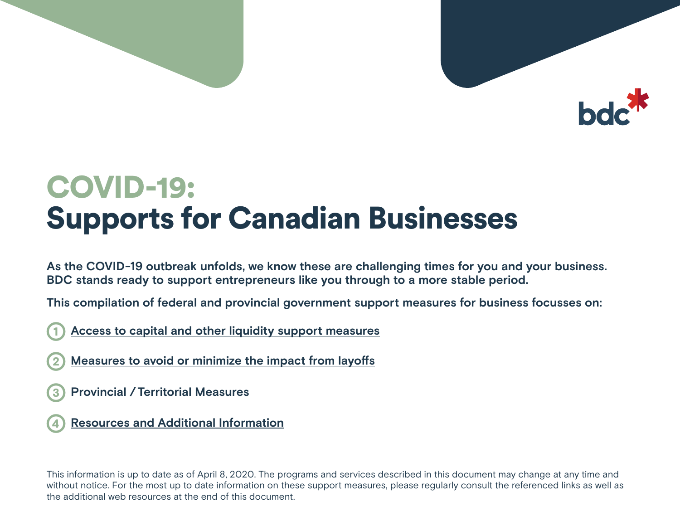

# COVID-19: Supports for Canadian Businesses

**As the COVID-19 outbreak unfolds, we know these are challenging times for you and your business. BDC stands ready to support entrepreneurs like you through to a more stable period.** 

**This compilation of federal and provincial government support measures for business focusses on:** 

- 1 **[Access to capital and other liquidity support measures](#page-1-0)**
- 2 **[Measures to avoid or minimize the impact from layoffs](#page-2-0)**
- 3 **Provincial [/Territorial Measures](#page-6-0)**
- 4 **[Resources and Additional Information](#page-6-0)**

This information is up to date as of April 8, 2020. The programs and services described in this document may change at any time and without notice. For the most up to date information on these support measures, please regularly consult the referenced links as well as the additional web resources at the end of this document.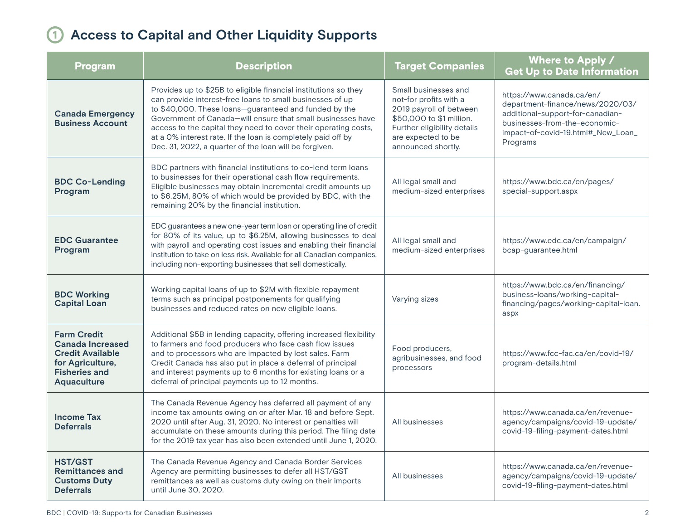## <span id="page-1-0"></span>1 **Access to Capital and Other Liquidity Supports**

| <b>Program</b>                                                                                                                             | <b>Description</b>                                                                                                                                                                                                                                                                                                                                                                                                                                | <b>Target Companies</b>                                                                                                                                                          | Where to Apply /<br><b>Get Up to Date Information</b>                                                                                                                                |
|--------------------------------------------------------------------------------------------------------------------------------------------|---------------------------------------------------------------------------------------------------------------------------------------------------------------------------------------------------------------------------------------------------------------------------------------------------------------------------------------------------------------------------------------------------------------------------------------------------|----------------------------------------------------------------------------------------------------------------------------------------------------------------------------------|--------------------------------------------------------------------------------------------------------------------------------------------------------------------------------------|
| <b>Canada Emergency</b><br><b>Business Account</b>                                                                                         | Provides up to \$25B to eligible financial institutions so they<br>can provide interest-free loans to small businesses of up<br>to \$40,000. These loans-guaranteed and funded by the<br>Government of Canada-will ensure that small businesses have<br>access to the capital they need to cover their operating costs,<br>at a 0% interest rate. If the loan is completely paid off by<br>Dec. 31, 2022, a quarter of the loan will be forgiven. | Small businesses and<br>not-for profits with a<br>2019 payroll of between<br>\$50,000 to \$1 million.<br>Further eligibility details<br>are expected to be<br>announced shortly. | https://www.canada.ca/en/<br>department-finance/news/2020/03/<br>additional-support-for-canadian-<br>businesses-from-the-economic-<br>impact-of-covid-19.html#_New_Loan_<br>Programs |
| <b>BDC Co-Lending</b><br>Program                                                                                                           | BDC partners with financial institutions to co-lend term loans<br>to businesses for their operational cash flow requirements.<br>Eligible businesses may obtain incremental credit amounts up<br>to \$6.25M, 80% of which would be provided by BDC, with the<br>remaining 20% by the financial institution.                                                                                                                                       | All legal small and<br>medium-sized enterprises                                                                                                                                  | https://www.bdc.ca/en/pages/<br>special-support.aspx                                                                                                                                 |
| <b>EDC Guarantee</b><br>Program                                                                                                            | EDC guarantees a new one-year term loan or operating line of credit<br>for 80% of its value, up to \$6.25M, allowing businesses to deal<br>with payroll and operating cost issues and enabling their financial<br>institution to take on less risk. Available for all Canadian companies,<br>including non-exporting businesses that sell domestically.                                                                                           | All legal small and<br>medium-sized enterprises                                                                                                                                  | https://www.edc.ca/en/campaign/<br>bcap-guarantee.html                                                                                                                               |
| <b>BDC Working</b><br><b>Capital Loan</b>                                                                                                  | Working capital loans of up to \$2M with flexible repayment<br>terms such as principal postponements for qualifying<br>businesses and reduced rates on new eligible loans.                                                                                                                                                                                                                                                                        | Varying sizes                                                                                                                                                                    | https://www.bdc.ca/en/financing/<br>business-loans/working-capital-<br>financing/pages/working-capital-loan.<br>aspx                                                                 |
| <b>Farm Credit</b><br><b>Canada Increased</b><br><b>Credit Available</b><br>for Agriculture,<br><b>Fisheries and</b><br><b>Aquaculture</b> | Additional \$5B in lending capacity, offering increased flexibility<br>to farmers and food producers who face cash flow issues<br>and to processors who are impacted by lost sales. Farm<br>Credit Canada has also put in place a deferral of principal<br>and interest payments up to 6 months for existing loans or a<br>deferral of principal payments up to 12 months.                                                                        | Food producers,<br>agribusinesses, and food<br>processors                                                                                                                        | https://www.fcc-fac.ca/en/covid-19/<br>program-details.html                                                                                                                          |
| <b>Income Tax</b><br><b>Deferrals</b>                                                                                                      | The Canada Revenue Agency has deferred all payment of any<br>income tax amounts owing on or after Mar. 18 and before Sept.<br>2020 until after Aug. 31, 2020. No interest or penalties will<br>accumulate on these amounts during this period. The filing date<br>for the 2019 tax year has also been extended until June 1, 2020.                                                                                                                | All businesses                                                                                                                                                                   | https://www.canada.ca/en/revenue-<br>agency/campaigns/covid-19-update/<br>covid-19-filing-payment-dates.html                                                                         |
| <b>HST/GST</b><br><b>Remittances and</b><br><b>Customs Duty</b><br><b>Deferrals</b>                                                        | The Canada Revenue Agency and Canada Border Services<br>Agency are permitting businesses to defer all HST/GST<br>remittances as well as customs duty owing on their imports<br>until June 30, 2020.                                                                                                                                                                                                                                               | All businesses                                                                                                                                                                   | https://www.canada.ca/en/revenue-<br>agency/campaigns/covid-19-update/<br>covid-19-filing-payment-dates.html                                                                         |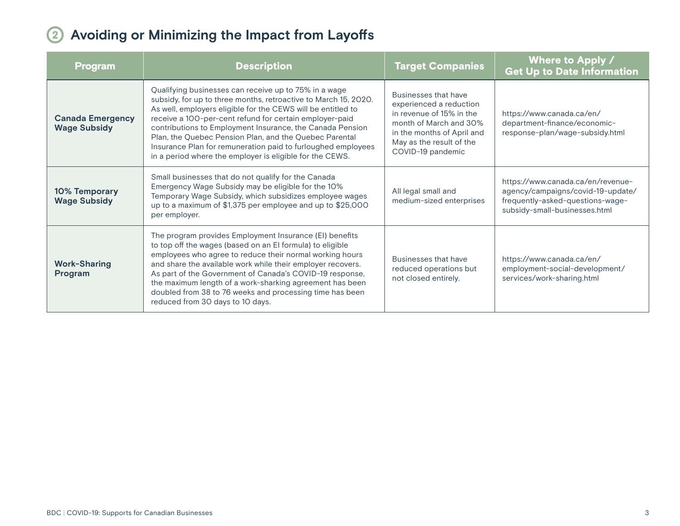## <span id="page-2-0"></span>2 **Avoiding or Minimizing the Impact from Layoffs**

| <u>Program</u>                                 | <b>Description</b>                                                                                                                                                                                                                                                                                                                                                                                                                                                                                     | <b>Target Companies</b>                                                                                                                                                              | <b>Where to Apply /</b><br><b>Get Up to Date Information</b>                                                                                |
|------------------------------------------------|--------------------------------------------------------------------------------------------------------------------------------------------------------------------------------------------------------------------------------------------------------------------------------------------------------------------------------------------------------------------------------------------------------------------------------------------------------------------------------------------------------|--------------------------------------------------------------------------------------------------------------------------------------------------------------------------------------|---------------------------------------------------------------------------------------------------------------------------------------------|
| <b>Canada Emergency</b><br><b>Wage Subsidy</b> | Qualifying businesses can receive up to 75% in a wage<br>subsidy, for up to three months, retroactive to March 15, 2020.<br>As well, employers eligible for the CEWS will be entitled to<br>receive a 100-per-cent refund for certain employer-paid<br>contributions to Employment Insurance, the Canada Pension<br>Plan, the Quebec Pension Plan, and the Quebec Parental<br>Insurance Plan for remuneration paid to furloughed employees<br>in a period where the employer is eligible for the CEWS. | Businesses that have<br>experienced a reduction<br>in revenue of 15% in the<br>month of March and 30%<br>in the months of April and<br>May as the result of the<br>COVID-19 pandemic | https://www.canada.ca/en/<br>department-finance/economic-<br>response-plan/wage-subsidy.html                                                |
| 10% Temporary<br><b>Wage Subsidy</b>           | Small businesses that do not qualify for the Canada<br>Emergency Wage Subsidy may be eligible for the 10%<br>Temporary Wage Subsidy, which subsidizes employee wages<br>up to a maximum of \$1,375 per employee and up to \$25,000<br>per employer.                                                                                                                                                                                                                                                    | All legal small and<br>medium-sized enterprises                                                                                                                                      | https://www.canada.ca/en/revenue-<br>agency/campaigns/covid-19-update/<br>frequently-asked-questions-wage-<br>subsidy-small-businesses.html |
| <b>Work-Sharing</b><br>Program                 | The program provides Employment Insurance (EI) benefits<br>to top off the wages (based on an El formula) to eligible<br>employees who agree to reduce their normal working hours<br>and share the available work while their employer recovers.<br>As part of the Government of Canada's COVID-19 response,<br>the maximum length of a work-sharking agreement has been<br>doubled from 38 to 76 weeks and processing time has been<br>reduced from 30 days to 10 days.                                | Businesses that have<br>reduced operations but<br>not closed entirely.                                                                                                               | https://www.canada.ca/en/<br>employment-social-development/<br>services/work-sharing.html                                                   |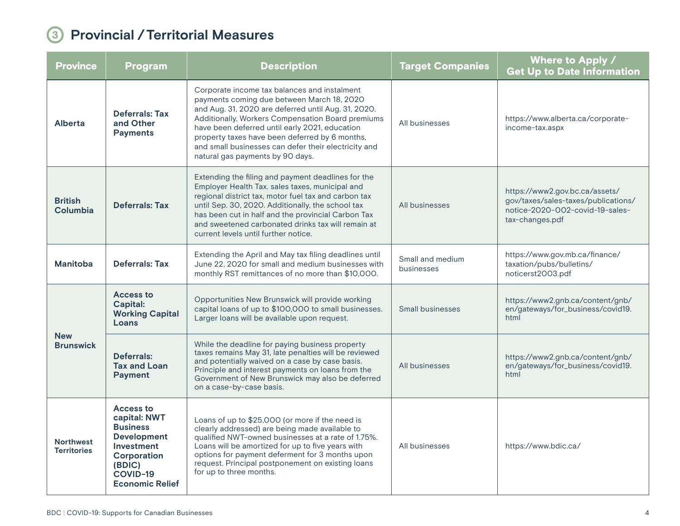#### 3 **Provincial /Territorial Measures**

| <b>Province</b>                        | <b>Program</b>                                                                                                                                         | <b>Description</b>                                                                                                                                                                                                                                                                                                                                                                                     | <b>Target Companies</b>        | Where to Apply /<br><b>Get Up to Date Information</b>                                                                       |
|----------------------------------------|--------------------------------------------------------------------------------------------------------------------------------------------------------|--------------------------------------------------------------------------------------------------------------------------------------------------------------------------------------------------------------------------------------------------------------------------------------------------------------------------------------------------------------------------------------------------------|--------------------------------|-----------------------------------------------------------------------------------------------------------------------------|
| Alberta                                | <b>Deferrals: Tax</b><br>and Other<br><b>Payments</b>                                                                                                  | Corporate income tax balances and instalment<br>payments coming due between March 18, 2020<br>and Aug. 31, 2020 are deferred until Aug. 31, 2020.<br>Additionally, Workers Compensation Board premiums<br>have been deferred until early 2021, education<br>property taxes have been deferred by 6 months,<br>and small businesses can defer their electricity and<br>natural gas payments by 90 days. | All businesses                 | https://www.alberta.ca/corporate-<br>income-tax.aspx                                                                        |
| <b>British</b><br>Columbia             | Deferrals: Tax                                                                                                                                         | Extending the filing and payment deadlines for the<br>Employer Health Tax. sales taxes, municipal and<br>regional district tax, motor fuel tax and carbon tax<br>until Sep. 30, 2020. Additionally, the school tax<br>has been cut in half and the provincial Carbon Tax<br>and sweetened carbonated drinks tax will remain at<br>current levels until further notice.                                 | All businesses                 | https://www2.gov.bc.ca/assets/<br>gov/taxes/sales-taxes/publications/<br>notice-2020-002-covid-19-sales-<br>tax-changes.pdf |
| <b>Manitoba</b>                        | <b>Deferrals: Tax</b>                                                                                                                                  | Extending the April and May tax filing deadlines until<br>June 22, 2020 for small and medium businesses with<br>monthly RST remittances of no more than \$10,000.                                                                                                                                                                                                                                      | Small and medium<br>businesses | https://www.gov.mb.ca/finance/<br>taxation/pubs/bulletins/<br>noticerst2003.pdf                                             |
| <b>New</b><br><b>Brunswick</b>         | Access to<br><b>Capital:</b><br><b>Working Capital</b><br>Loans                                                                                        | Opportunities New Brunswick will provide working<br>capital loans of up to \$100,000 to small businesses.<br>Larger loans will be available upon request.                                                                                                                                                                                                                                              | <b>Small businesses</b>        | https://www2.gnb.ca/content/gnb/<br>en/gateways/for_business/covid19.<br>html                                               |
|                                        | Deferrals:<br><b>Tax and Loan</b><br><b>Payment</b>                                                                                                    | While the deadline for paying business property<br>taxes remains May 31, late penalties will be reviewed<br>and potentially waived on a case by case basis.<br>Principle and interest payments on loans from the<br>Government of New Brunswick may also be deferred<br>on a case-by-case basis.                                                                                                       | All businesses                 | https://www2.gnb.ca/content/gnb/<br>en/gateways/for_business/covid19.<br>html                                               |
| <b>Northwest</b><br><b>Territories</b> | <b>Access to</b><br>capital: NWT<br><b>Business</b><br><b>Development</b><br>Investment<br>Corporation<br>(BDIC)<br>COVID-19<br><b>Economic Relief</b> | Loans of up to \$25,000 (or more if the need is<br>clearly addressed) are being made available to<br>qualified NWT-owned businesses at a rate of 1.75%.<br>Loans will be amortized for up to five years with<br>options for payment deferment for 3 months upon<br>request. Principal postponement on existing loans<br>for up to three months.                                                        | All businesses                 | https://www.bdic.ca/                                                                                                        |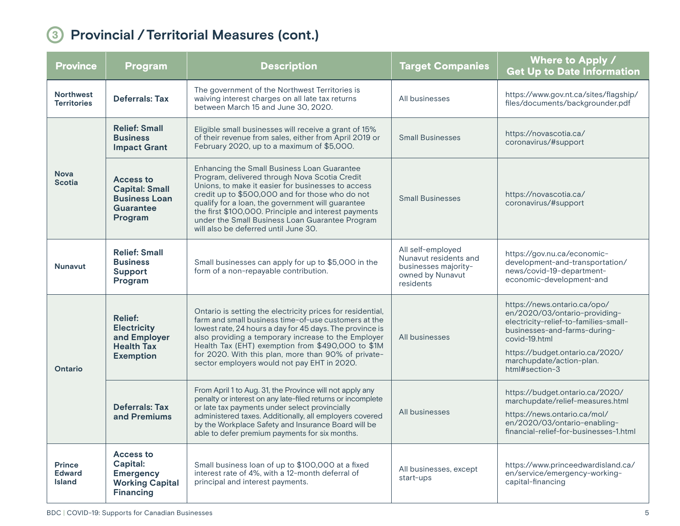## 3 **Provincial /Territorial Measures (cont.)**

| <b>Province</b>                                 | <b>Program</b>                                                                                 | <b>Description</b>                                                                                                                                                                                                                                                                                                                                                                                            | <b>Target Companies</b>                                                                             | Where to Apply /<br><b>Get Up to Date Information</b>                                                                                                                                                                                    |
|-------------------------------------------------|------------------------------------------------------------------------------------------------|---------------------------------------------------------------------------------------------------------------------------------------------------------------------------------------------------------------------------------------------------------------------------------------------------------------------------------------------------------------------------------------------------------------|-----------------------------------------------------------------------------------------------------|------------------------------------------------------------------------------------------------------------------------------------------------------------------------------------------------------------------------------------------|
| <b>Northwest</b><br><b>Territories</b>          | <b>Deferrals: Tax</b>                                                                          | The government of the Northwest Territories is<br>waiving interest charges on all late tax returns<br>between March 15 and June 30, 2020.                                                                                                                                                                                                                                                                     | All businesses                                                                                      | https://www.gov.nt.ca/sites/flagship/<br>files/documents/backgrounder.pdf                                                                                                                                                                |
| <b>Nova</b><br><b>Scotia</b>                    | <b>Relief: Small</b><br><b>Business</b><br><b>Impact Grant</b>                                 | Eligible small businesses will receive a grant of 15%<br>of their revenue from sales, either from April 2019 or<br>February 2020, up to a maximum of \$5,000.                                                                                                                                                                                                                                                 | <b>Small Businesses</b>                                                                             | https://novascotia.ca/<br>coronavirus/#support                                                                                                                                                                                           |
|                                                 | <b>Access to</b><br><b>Capital: Small</b><br><b>Business Loan</b><br>Guarantee<br>Program      | Enhancing the Small Business Loan Guarantee<br>Program, delivered through Nova Scotia Credit<br>Unions, to make it easier for businesses to access<br>credit up to \$500,000 and for those who do not<br>qualify for a loan, the government will guarantee<br>the first \$100,000. Principle and interest payments<br>under the Small Business Loan Guarantee Program<br>will also be deferred until June 30. | <b>Small Businesses</b>                                                                             | https://novascotia.ca/<br>coronavirus/#support                                                                                                                                                                                           |
| <b>Nunavut</b>                                  | <b>Relief: Small</b><br><b>Business</b><br>Support<br>Program                                  | Small businesses can apply for up to \$5,000 in the<br>form of a non-repayable contribution.                                                                                                                                                                                                                                                                                                                  | All self-employed<br>Nunavut residents and<br>businesses majority-<br>owned by Nunavut<br>residents | https://gov.nu.ca/economic-<br>development-and-transportation/<br>news/covid-19-department-<br>economic-development-and                                                                                                                  |
| <b>Ontario</b>                                  | <b>Relief:</b><br><b>Electricity</b><br>and Employer<br><b>Health Tax</b><br><b>Exemption</b>  | Ontario is setting the electricity prices for residential,<br>farm and small business time-of-use customers at the<br>lowest rate, 24 hours a day for 45 days. The province is<br>also providing a temporary increase to the Employer<br>Health Tax (EHT) exemption from \$490,000 to \$1M<br>for 2020. With this plan, more than 90% of private-<br>sector employers would not pay EHT in 2020.              | All businesses                                                                                      | https://news.ontario.ca/opo/<br>en/2020/03/ontario-providing-<br>electricity-relief-to-families-small-<br>businesses-and-farms-during-<br>covid-19.html<br>https://budget.ontario.ca/2020/<br>marchupdate/action-plan.<br>html#section-3 |
|                                                 | Deferrals: Tax<br>and Premiums                                                                 | From April 1 to Aug. 31, the Province will not apply any<br>penalty or interest on any late-filed returns or incomplete<br>or late tax payments under select provincially<br>administered taxes. Additionally, all employers covered<br>by the Workplace Safety and Insurance Board will be<br>able to defer premium payments for six months.                                                                 | All businesses                                                                                      | https://budget.ontario.ca/2020/<br>marchupdate/relief-measures.html<br>https://news.ontario.ca/mol/<br>en/2020/03/ontario-enabling-<br>financial-relief-for-businesses-1.html                                                            |
| <b>Prince</b><br><b>Edward</b><br><b>Island</b> | <b>Access to</b><br>Capital:<br><b>Emergency</b><br><b>Working Capital</b><br><b>Financing</b> | Small business loan of up to \$100,000 at a fixed<br>interest rate of 4%, with a 12-month deferral of<br>principal and interest payments.                                                                                                                                                                                                                                                                     | All businesses, except<br>start-ups                                                                 | https://www.princeedwardisland.ca/<br>en/service/emergency-working-<br>capital-financing                                                                                                                                                 |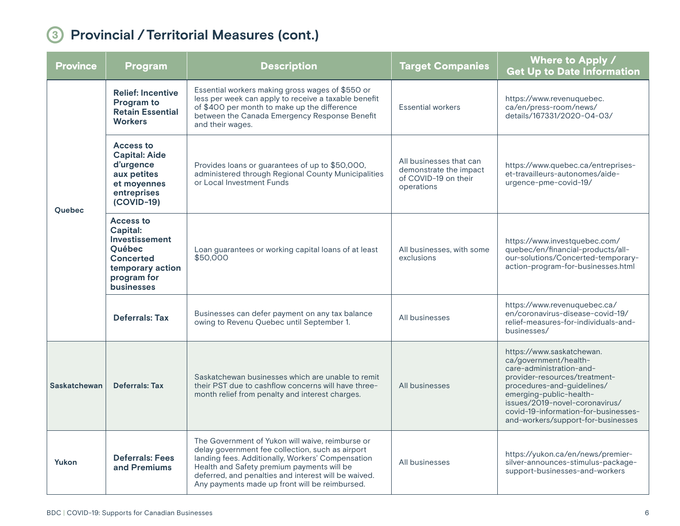## 3 **Provincial /Territorial Measures (cont.)**

| <b>Province</b>     | <b>Program</b>                                                                                                                              | <b>Description</b>                                                                                                                                                                                                                                                                                                | <b>Target Companies</b>                                                                 | Where to Apply /<br><b>Get Up to Date Information</b>                                                                                                                                                                                                                                    |
|---------------------|---------------------------------------------------------------------------------------------------------------------------------------------|-------------------------------------------------------------------------------------------------------------------------------------------------------------------------------------------------------------------------------------------------------------------------------------------------------------------|-----------------------------------------------------------------------------------------|------------------------------------------------------------------------------------------------------------------------------------------------------------------------------------------------------------------------------------------------------------------------------------------|
| <b>Ouebec</b>       | <b>Relief: Incentive</b><br>Program to<br><b>Retain Essential</b><br><b>Workers</b>                                                         | Essential workers making gross wages of \$550 or<br>less per week can apply to receive a taxable benefit<br>of \$400 per month to make up the difference<br>between the Canada Emergency Response Benefit<br>and their wages.                                                                                     | <b>Essential workers</b>                                                                | https://www.revenuquebec.<br>ca/en/press-room/news/<br>details/167331/2020-04-03/                                                                                                                                                                                                        |
|                     | Access to<br><b>Capital: Aide</b><br>d'urgence<br>aux petites<br>et moyennes<br>entreprises<br>$(COVID-19)$                                 | Provides loans or guarantees of up to \$50,000,<br>administered through Regional County Municipalities<br>or Local Investment Funds                                                                                                                                                                               | All businesses that can<br>demonstrate the impact<br>of COVID-19 on their<br>operations | https://www.quebec.ca/entreprises-<br>et-travailleurs-autonomes/aide-<br>urgence-pme-covid-19/                                                                                                                                                                                           |
|                     | <b>Access to</b><br>Capital:<br>Investissement<br><b>Ouébec</b><br><b>Concerted</b><br>temporary action<br>program for<br><b>businesses</b> | Loan guarantees or working capital loans of at least<br>\$50,000                                                                                                                                                                                                                                                  | All businesses, with some<br>exclusions                                                 | https://www.investquebec.com/<br>quebec/en/financial-products/all-<br>our-solutions/Concerted-temporary-<br>action-program-for-businesses.html                                                                                                                                           |
|                     | Deferrals: Tax                                                                                                                              | Businesses can defer payment on any tax balance<br>owing to Revenu Quebec until September 1.                                                                                                                                                                                                                      | All businesses                                                                          | https://www.revenuquebec.ca/<br>en/coronavirus-disease-covid-19/<br>relief-measures-for-individuals-and-<br>businesses/                                                                                                                                                                  |
| <b>Saskatchewan</b> | <b>Deferrals: Tax</b>                                                                                                                       | Saskatchewan businesses which are unable to remit<br>their PST due to cashflow concerns will have three-<br>month relief from penalty and interest charges.                                                                                                                                                       | All businesses                                                                          | https://www.saskatchewan.<br>ca/government/health-<br>care-administration-and-<br>provider-resources/treatment-<br>procedures-and-guidelines/<br>emerging-public-health-<br>issues/2019-novel-coronavirus/<br>covid-19-information-for-businesses-<br>and-workers/support-for-businesses |
| Yukon               | <b>Deferrals: Fees</b><br>and Premiums                                                                                                      | The Government of Yukon will waive, reimburse or<br>delay government fee collection, such as airport<br>landing fees. Additionally, Workers' Compensation<br>Health and Safety premium payments will be<br>deferred, and penalties and interest will be waived.<br>Any payments made up front will be reimbursed. | All businesses                                                                          | https://yukon.ca/en/news/premier-<br>silver-announces-stimulus-package-<br>support-businesses-and-workers                                                                                                                                                                                |